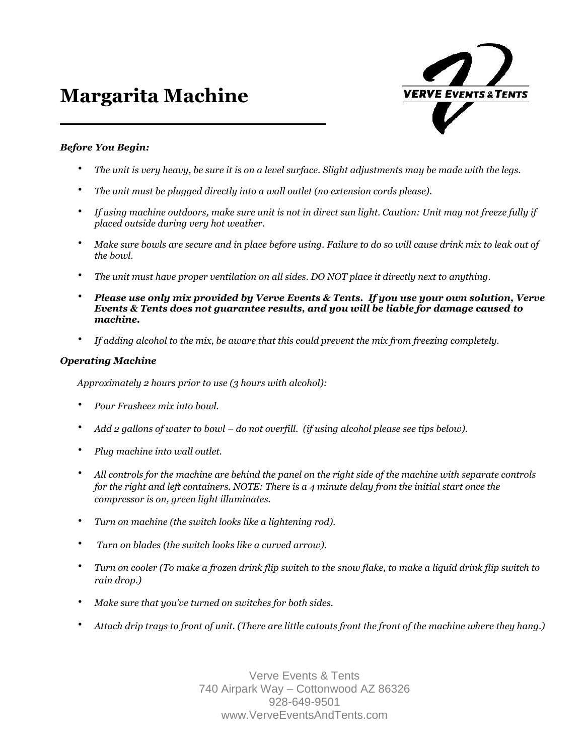# **Margarita Machine**



### *Before You Begin:*

- *The unit is very heavy, be sure it is on a level surface. Slight adjustments may be made with the legs.*
- *The unit must be plugged directly into a wall outlet (no extension cords please).*
- *If using machine outdoors, make sure unit is not in direct sun light. Caution: Unit may not freeze fully if placed outside during very hot weather.*
- *Make sure bowls are secure and in place before using. Failure to do so will cause drink mix to leak out of the bowl.*
- *The unit must have proper ventilation on all sides. DO NOT place it directly next to anything.*
- *Please use only mix provided by Verve Events & Tents. If you use your own solution, Verve Events & Tents does not guarantee results, and you will be liable for damage caused to machine.*
- *If adding alcohol to the mix, be aware that this could prevent the mix from freezing completely.*

#### *Operating Machine*

*Approximately 2 hours prior to use (3 hours with alcohol):*

- *Pour Frusheez mix into bowl.*
- *Add 2 gallons of water to bowl do not overfill. (if using alcohol please see tips below).*
- *Plug machine into wall outlet.*
- *All controls for the machine are behind the panel on the right side of the machine with separate controls for the right and left containers. NOTE: There is a 4 minute delay from the initial start once the compressor is on, green light illuminates.*
- *Turn on machine (the switch looks like a lightening rod).*
- *Turn on blades (the switch looks like a curved arrow).*
- *Turn on cooler (To make a frozen drink flip switch to the snow flake, to make a liquid drink flip switch to rain drop.)*
- *Make sure that you've turned on switches for both sides.*
- *Attach drip trays to front of unit. (There are little cutouts front the front of the machine where they hang.)*

Verve Events & Tents 740 Airpark Way – Cottonwood AZ 86326 928-649-9501 www.VerveEventsAndTents.com